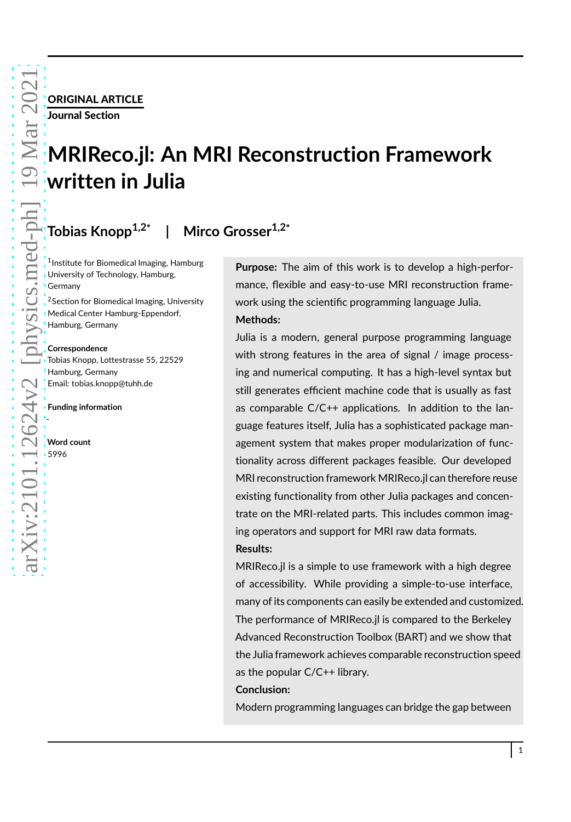# ORIGINAL ARTICLE Journal Section

# **MRIReco.jl: An MRI Reconstruction Framework written in Julia**

#### **Tobias Knopp1,2\* | Mirco Grosser1,2\***

1 Institute for Biomedical Imaging, Hamburg University of Technology, Hamburg, Germany

<sup>2</sup>Section for Biomedical Imaging, University Medical Center Hamburg-Eppendorf, Hamburg, Germany

#### **Correspondence**

Tobias Knopp, Lottestrasse 55, 22529 Hamburg, Germany Email: tobias.knopp@tuhh.de

**Funding information**

**Word count** 5996

-

**Purpose:** The aim of this work is to develop a high-performance, flexible and easy-to-use MRI reconstruction framework using the scientific programming language Julia. **Methods:**

Julia is a modern, general purpose programming language with strong features in the area of signal / image processing and numerical computing. It has a high-level syntax but still generates efficient machine code that is usually as fast as comparable C/C++ applications. In addition to the language features itself, Julia has a sophisticated package management system that makes proper modularization of functionality across different packages feasible. Our developed MRI reconstruction framework MRIReco.jl can therefore reuse existing functionality from other Julia packages and concentrate on the MRI-related parts. This includes common imaging operators and support for MRI raw data formats. **Results:**

MRIReco.jl is a simple to use framework with a high degree of accessibility. While providing a simple-to-use interface, many of its components can easily be extended and customized. The performance of MRIReco.jl is compared to the Berkeley Advanced Reconstruction Toolbox (BART) and we show that the Julia framework achieves comparable reconstruction speed as the popular C/C++ library.

### **Conclusion:**

Modern programming languages can bridge the gap between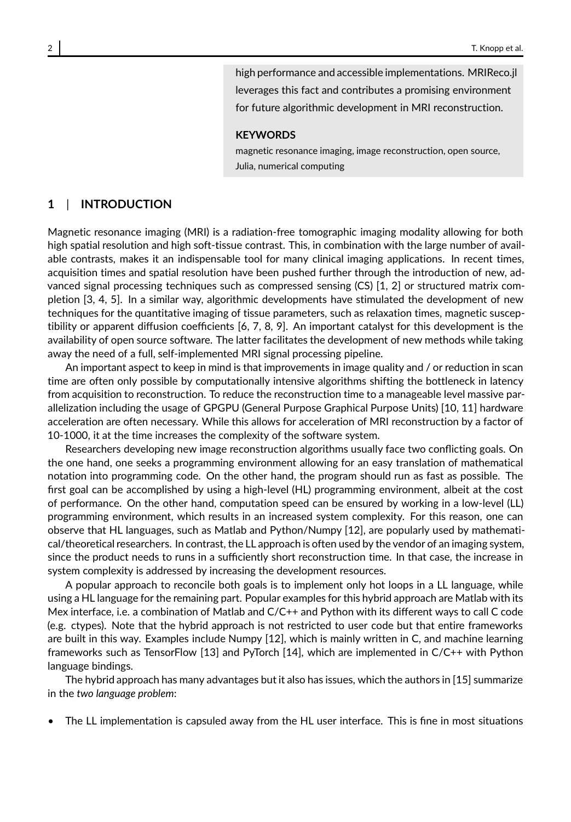high performance and accessible implementations. MRIReco.jl leverages this fact and contributes a promising environment for future algorithmic development in MRI reconstruction.

#### **KEYWORDS**

magnetic resonance imaging, image reconstruction, open source, Julia, numerical computing

### **1** | **INTRODUCTION**

Magnetic resonance imaging (MRI) is a radiation-free tomographic imaging modality allowing for both high spatial resolution and high soft-tissue contrast. This, in combination with the large number of available contrasts, makes it an indispensable tool for many clinical imaging applications. In recent times, acquisition times and spatial resolution have been pushed further through the introduction of new, advanced signal processing techniques such as compressed sensing (CS) [1, 2] or structured matrix completion [3, 4, 5]. In a similar way, algorithmic developments have stimulated the development of new techniques for the quantitative imaging of tissue parameters, such as relaxation times, magnetic susceptibility or apparent diffusion coefficients [6, 7, 8, 9]. An important catalyst for this development is the availability of open source software. The latter facilitates the development of new methods while taking away the need of a full, self-implemented MRI signal processing pipeline.

An important aspect to keep in mind is that improvements in image quality and / or reduction in scan time are often only possible by computationally intensive algorithms shifting the bottleneck in latency from acquisition to reconstruction. To reduce the reconstruction time to a manageable level massive parallelization including the usage of GPGPU (General Purpose Graphical Purpose Units) [10, 11] hardware acceleration are often necessary. While this allows for acceleration of MRI reconstruction by a factor of 10-1000, it at the time increases the complexity of the software system.

Researchers developing new image reconstruction algorithms usually face two conflicting goals. On the one hand, one seeks a programming environment allowing for an easy translation of mathematical notation into programming code. On the other hand, the program should run as fast as possible. The first goal can be accomplished by using a high-level (HL) programming environment, albeit at the cost of performance. On the other hand, computation speed can be ensured by working in a low-level (LL) programming environment, which results in an increased system complexity. For this reason, one can observe that HL languages, such as Matlab and Python/Numpy [12], are popularly used by mathematical/theoretical researchers. In contrast, the LL approach is often used by the vendor of an imaging system, since the product needs to runs in a sufficiently short reconstruction time. In that case, the increase in system complexity is addressed by increasing the development resources.

A popular approach to reconcile both goals is to implement only hot loops in a LL language, while using a HL language for the remaining part. Popular examples for this hybrid approach are Matlab with its Mex interface, i.e. a combination of Matlab and C/C++ and Python with its different ways to call C code (e.g. ctypes). Note that the hybrid approach is not restricted to user code but that entire frameworks are built in this way. Examples include Numpy [12], which is mainly written in C, and machine learning frameworks such as TensorFlow [13] and PyTorch [14], which are implemented in C/C++ with Python language bindings.

The hybrid approach has many advantages but it also has issues, which the authors in [15] summarize in the *two language problem*:

The LL implementation is capsuled away from the HL user interface. This is fine in most situations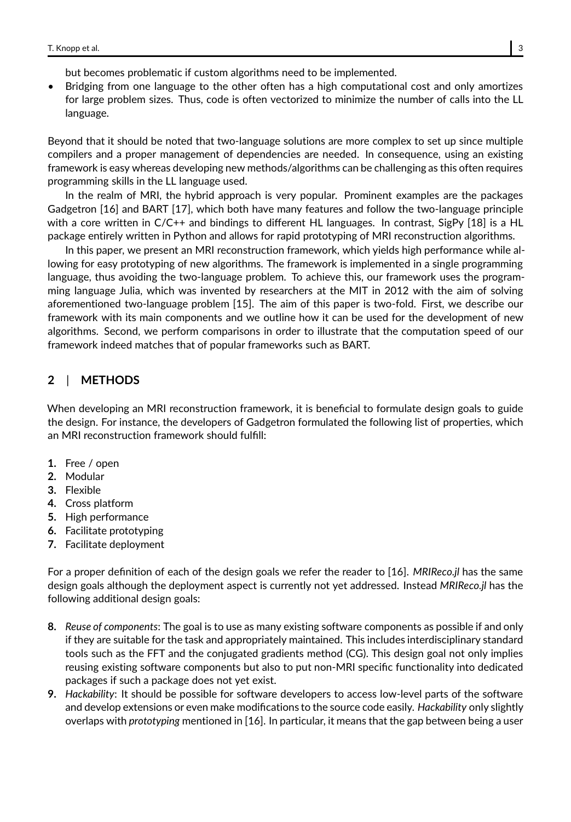but becomes problematic if custom algorithms need to be implemented.

• Bridging from one language to the other often has a high computational cost and only amortizes for large problem sizes. Thus, code is often vectorized to minimize the number of calls into the LL language.

Beyond that it should be noted that two-language solutions are more complex to set up since multiple compilers and a proper management of dependencies are needed. In consequence, using an existing framework is easy whereas developing new methods/algorithms can be challenging as this often requires programming skills in the LL language used.

In the realm of MRI, the hybrid approach is very popular. Prominent examples are the packages Gadgetron [16] and BART [17], which both have many features and follow the two-language principle with a core written in C/C++ and bindings to different HL languages. In contrast, SigPy [18] is a HL package entirely written in Python and allows for rapid prototyping of MRI reconstruction algorithms.

In this paper, we present an MRI reconstruction framework, which yields high performance while allowing for easy prototyping of new algorithms. The framework is implemented in a single programming language, thus avoiding the two-language problem. To achieve this, our framework uses the programming language Julia, which was invented by researchers at the MIT in 2012 with the aim of solving aforementioned two-language problem [15]. The aim of this paper is two-fold. First, we describe our framework with its main components and we outline how it can be used for the development of new algorithms. Second, we perform comparisons in order to illustrate that the computation speed of our framework indeed matches that of popular frameworks such as BART.

# **2** | **METHODS**

When developing an MRI reconstruction framework, it is beneficial to formulate design goals to guide the design. For instance, the developers of Gadgetron formulated the following list of properties, which an MRI reconstruction framework should fulfill:

- **1.** Free / open
- **2.** Modular
- **3.** Flexible
- **4.** Cross platform
- **5.** High performance
- **6.** Facilitate prototyping
- **7.** Facilitate deployment

For a proper definition of each of the design goals we refer the reader to [16]. *MRIReco.jl* has the same design goals although the deployment aspect is currently not yet addressed. Instead *MRIReco.jl* has the following additional design goals:

- **8.** *Reuse of components*: The goal is to use as many existing software components as possible if and only if they are suitable for the task and appropriately maintained. This includes interdisciplinary standard tools such as the FFT and the conjugated gradients method (CG). This design goal not only implies reusing existing software components but also to put non-MRI specific functionality into dedicated packages if such a package does not yet exist.
- **9.** *Hackability*: It should be possible for software developers to access low-level parts of the software and develop extensions or even make modifications to the source code easily. *Hackability* only slightly overlaps with *prototyping* mentioned in [16]. In particular, it means that the gap between being a user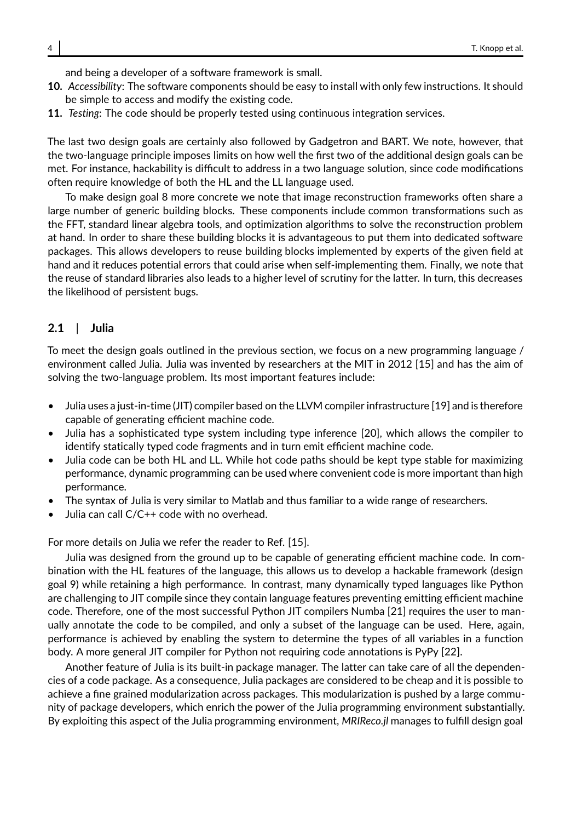and being a developer of a software framework is small.

- **10.** *Accessibility*: The software components should be easy to install with only few instructions. It should be simple to access and modify the existing code.
- **11.** *Testing*: The code should be properly tested using continuous integration services.

The last two design goals are certainly also followed by Gadgetron and BART. We note, however, that the two-language principle imposes limits on how well the first two of the additional design goals can be met. For instance, hackability is difficult to address in a two language solution, since code modifications often require knowledge of both the HL and the LL language used.

To make design goal 8 more concrete we note that image reconstruction frameworks often share a large number of generic building blocks. These components include common transformations such as the FFT, standard linear algebra tools, and optimization algorithms to solve the reconstruction problem at hand. In order to share these building blocks it is advantageous to put them into dedicated software packages. This allows developers to reuse building blocks implemented by experts of the given field at hand and it reduces potential errors that could arise when self-implementing them. Finally, we note that the reuse of standard libraries also leads to a higher level of scrutiny for the latter. In turn, this decreases the likelihood of persistent bugs.

### **2.1** | **Julia**

To meet the design goals outlined in the previous section, we focus on a new programming language / environment called Julia. Julia was invented by researchers at the MIT in 2012 [15] and has the aim of solving the two-language problem. Its most important features include:

- Julia uses a just-in-time (JIT) compiler based on the LLVM compiler infrastructure [19] and is therefore capable of generating efficient machine code.
- Julia has a sophisticated type system including type inference [20], which allows the compiler to identify statically typed code fragments and in turn emit efficient machine code.
- Julia code can be both HL and LL. While hot code paths should be kept type stable for maximizing performance, dynamic programming can be used where convenient code is more important than high performance.
- The syntax of Julia is very similar to Matlab and thus familiar to a wide range of researchers.
- Julia can call C/C++ code with no overhead.

For more details on Julia we refer the reader to Ref. [15].

Julia was designed from the ground up to be capable of generating efficient machine code. In combination with the HL features of the language, this allows us to develop a hackable framework (design goal 9) while retaining a high performance. In contrast, many dynamically typed languages like Python are challenging to JIT compile since they contain language features preventing emitting efficient machine code. Therefore, one of the most successful Python JIT compilers Numba [21] requires the user to manually annotate the code to be compiled, and only a subset of the language can be used. Here, again, performance is achieved by enabling the system to determine the types of all variables in a function body. A more general JIT compiler for Python not requiring code annotations is PyPy [22].

Another feature of Julia is its built-in package manager. The latter can take care of all the dependencies of a code package. As a consequence, Julia packages are considered to be cheap and it is possible to achieve a fine grained modularization across packages. This modularization is pushed by a large community of package developers, which enrich the power of the Julia programming environment substantially. By exploiting this aspect of the Julia programming environment, *MRIReco.jl* manages to fulfill design goal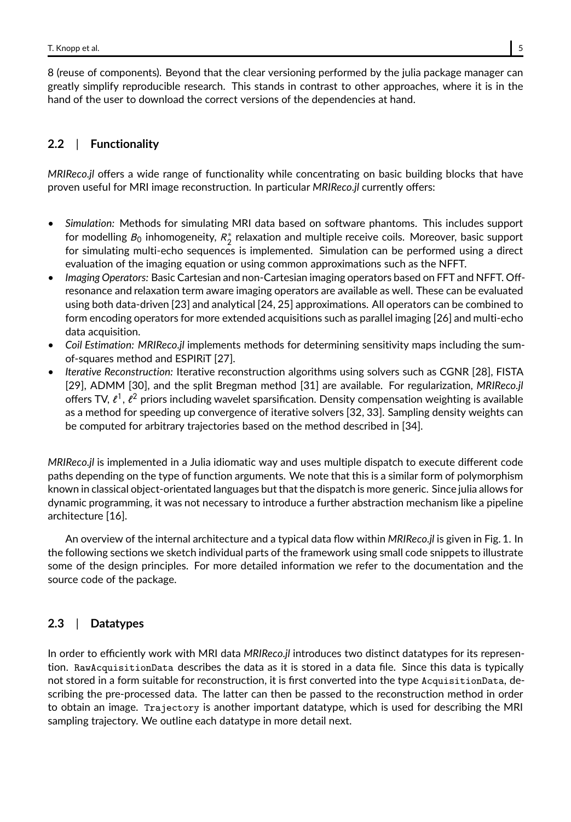8 (reuse of components). Beyond that the clear versioning performed by the julia package manager can greatly simplify reproducible research. This stands in contrast to other approaches, where it is in the hand of the user to download the correct versions of the dependencies at hand.

# **2.2** | **Functionality**

*MRIReco.jl* offers a wide range of functionality while concentrating on basic building blocks that have proven useful for MRI image reconstruction. In particular *MRIReco.jl* currently offers:

- *Simulation:* Methods for simulating MRI data based on software phantoms. This includes support for modelling  $B_0$  inhomogeneity,  $R_2^{\ast}$  relaxation and multiple receive coils. Moreover, basic support for simulating multi-echo sequences is implemented. Simulation can be performed using a direct evaluation of the imaging equation or using common approximations such as the NFFT.
- *Imaging Operators:* Basic Cartesian and non-Cartesian imaging operators based on FFT and NFFT. Offresonance and relaxation term aware imaging operators are available as well. These can be evaluated using both data-driven [23] and analytical [24, 25] approximations. All operators can be combined to form encoding operators for more extended acquisitions such as parallel imaging [26] and multi-echo data acquisition.
- *Coil Estimation: MRIReco.jl* implements methods for determining sensitivity maps including the sumof-squares method and ESPIRiT [27].
- *Iterative Reconstruction:* Iterative reconstruction algorithms using solvers such as CGNR [28], FISTA [29], ADMM [30], and the split Bregman method [31] are available. For regularization, *MRIReco.jl* offers TV,  $\ell^1$ ,  $\ell^2$  priors including wavelet sparsification. Density compensation weighting is available as a method for speeding up convergence of iterative solvers [32, 33]. Sampling density weights can be computed for arbitrary trajectories based on the method described in [34].

*MRIReco.jl* is implemented in a Julia idiomatic way and uses multiple dispatch to execute different code paths depending on the type of function arguments. We note that this is a similar form of polymorphism known in classical object-orientated languages but that the dispatch is more generic. Since julia allows for dynamic programming, it was not necessary to introduce a further abstraction mechanism like a pipeline architecture [16].

An overview of the internal architecture and a typical data flow within *MRIReco.jl* is given in Fig. 1. In the following sections we sketch individual parts of the framework using small code snippets to illustrate some of the design principles. For more detailed information we refer to the documentation and the source code of the package.

# **2.3** | **Datatypes**

In order to efficiently work with MRI data *MRIReco.jl* introduces two distinct datatypes for its represention. RawAcquisitionData describes the data as it is stored in a data file. Since this data is typically not stored in a form suitable for reconstruction, it is first converted into the type AcquisitionData, describing the pre-processed data. The latter can then be passed to the reconstruction method in order to obtain an image. Trajectory is another important datatype, which is used for describing the MRI sampling trajectory. We outline each datatype in more detail next.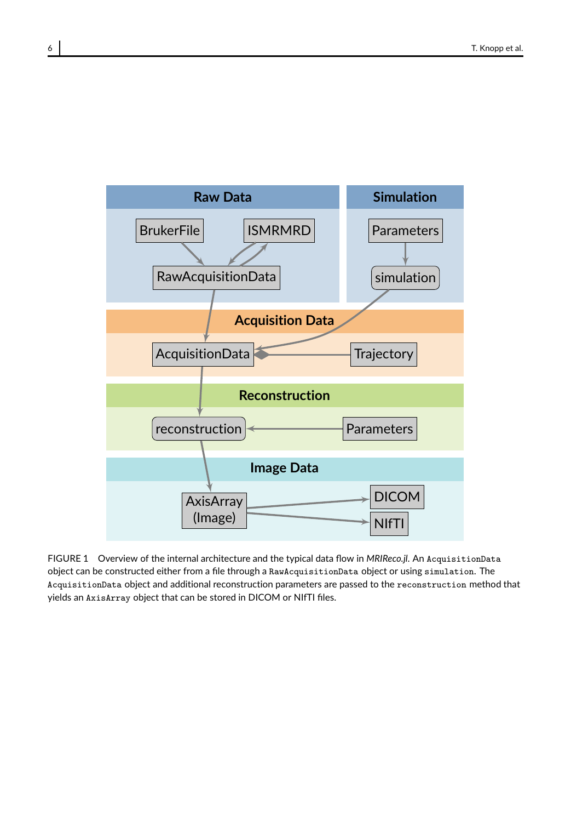

FIGURE 1 Overview of the internal architecture and the typical data flow in *MRIReco.jl*. An AcquisitionData object can be constructed either from a file through a RawAcquisitionData object or using simulation. The AcquisitionData object and additional reconstruction parameters are passed to the reconstruction method that yields an AxisArray object that can be stored in DICOM or NIfTI files.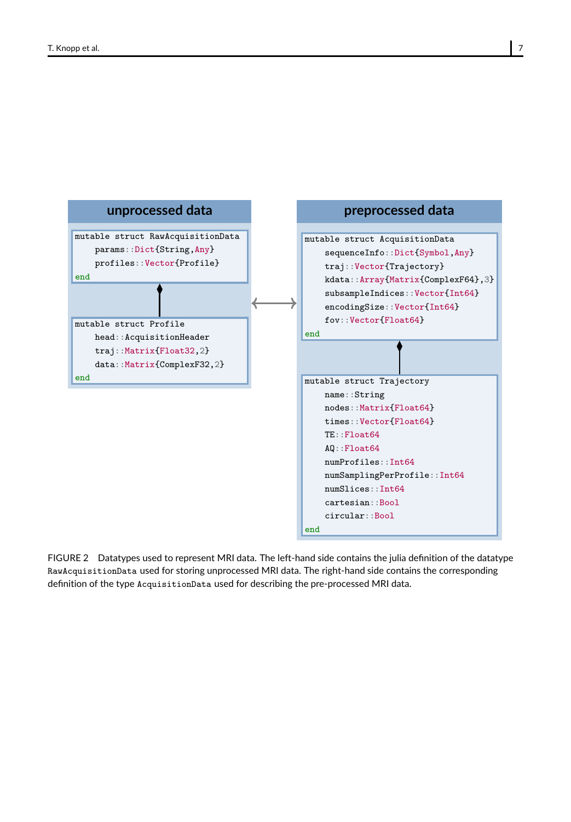

FIGURE 2 Datatypes used to represent MRI data. The left-hand side contains the julia definition of the datatype RawAcquisitionData used for storing unprocessed MRI data. The right-hand side contains the corresponding definition of the type AcquisitionData used for describing the pre-processed MRI data.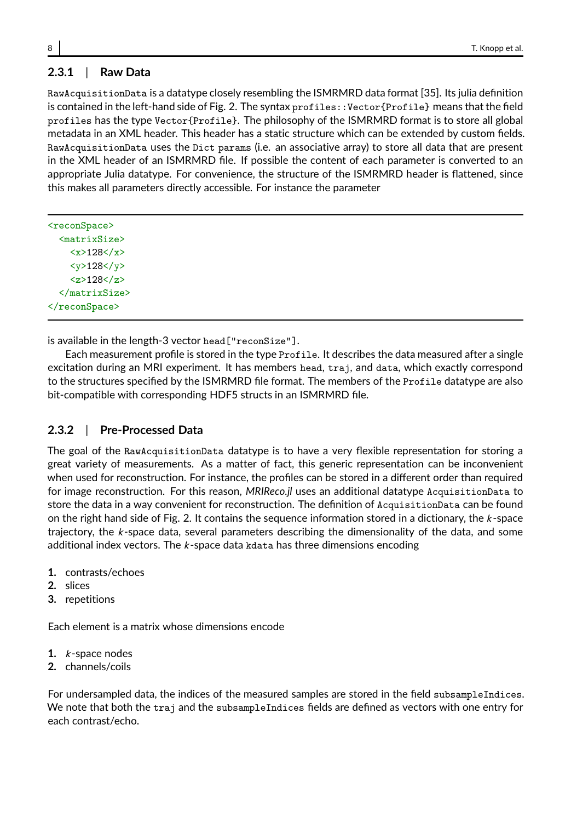# **2.3.1** | **Raw Data**

RawAcquisitionData is a datatype closely resembling the ISMRMRD data format [35]. Its julia definition is contained in the left-hand side of Fig. 2. The syntax profiles::Vector{Profile} means that the field profiles has the type Vector{Profile}. The philosophy of the ISMRMRD format is to store all global metadata in an XML header. This header has a static structure which can be extended by custom fields. RawAcquisitionData uses the Dict params (i.e. an associative array) to store all data that are present in the XML header of an ISMRMRD file. If possible the content of each parameter is converted to an appropriate Julia datatype. For convenience, the structure of the ISMRMRD header is flattened, since this makes all parameters directly accessible. For instance the parameter

| <reconspace></reconspace>                 |
|-------------------------------------------|
| <matrixsize></matrixsize>                 |
| $\langle x \rangle 128 \langle x \rangle$ |
| $<$ y>128 $<$ /y>                         |
| $128$ /z>                                 |
|                                           |
|                                           |
|                                           |

is available in the length-3 vector head["reconSize"].

Each measurement profile is stored in the type Profile. It describes the data measured after a single excitation during an MRI experiment. It has members head, traj, and data, which exactly correspond to the structures specified by the ISMRMRD file format. The members of the Profile datatype are also bit-compatible with corresponding HDF5 structs in an ISMRMRD file.

# **2.3.2** | **Pre-Processed Data**

The goal of the RawAcquisitionData datatype is to have a very flexible representation for storing a great variety of measurements. As a matter of fact, this generic representation can be inconvenient when used for reconstruction. For instance, the profiles can be stored in a different order than required for image reconstruction. For this reason, *MRIReco.jl* uses an additional datatype AcquisitionData to store the data in a way convenient for reconstruction. The definition of AcquisitionData can be found on the right hand side of Fig. 2. It contains the sequence information stored in a dictionary, the  $k$ -space trajectory, the  $k$ -space data, several parameters describing the dimensionality of the data, and some additional index vectors. The  $k$ -space data kdata has three dimensions encoding

- **1.** contrasts/echoes
- **2.** slices
- **3.** repetitions

Each element is a matrix whose dimensions encode

- **1.** k -space nodes
- **2.** channels/coils

For undersampled data, the indices of the measured samples are stored in the field subsampleIndices. We note that both the traj and the subsampleIndices fields are defined as vectors with one entry for each contrast/echo.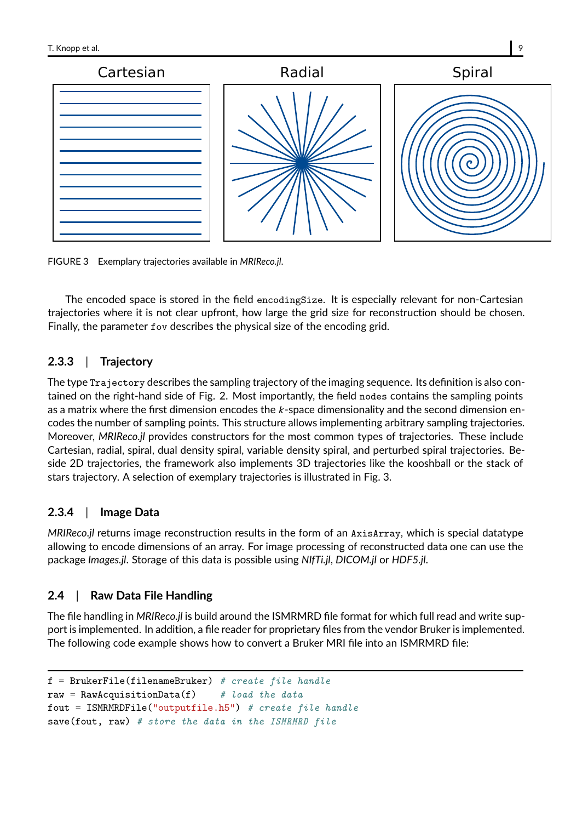

FIGURE 3 Exemplary trajectories available in *MRIReco.jl*.

The encoded space is stored in the field encodingSize. It is especially relevant for non-Cartesian trajectories where it is not clear upfront, how large the grid size for reconstruction should be chosen. Finally, the parameter fov describes the physical size of the encoding grid.

# **2.3.3** | **Trajectory**

The type Trajectory describes the sampling trajectory of the imaging sequence. Its definition is also contained on the right-hand side of Fig. 2. Most importantly, the field nodes contains the sampling points as a matrix where the first dimension encodes the  $k$ -space dimensionality and the second dimension encodes the number of sampling points. This structure allows implementing arbitrary sampling trajectories. Moreover, *MRIReco.jl* provides constructors for the most common types of trajectories. These include Cartesian, radial, spiral, dual density spiral, variable density spiral, and perturbed spiral trajectories. Beside 2D trajectories, the framework also implements 3D trajectories like the kooshball or the stack of stars trajectory. A selection of exemplary trajectories is illustrated in Fig. 3.

# **2.3.4** | **Image Data**

*MRIReco.jl* returns image reconstruction results in the form of an AxisArray, which is special datatype allowing to encode dimensions of an array. For image processing of reconstructed data one can use the package *Images.jl*. Storage of this data is possible using *NIfTi.jl*, *DICOM.jl* or *HDF5.jl*.

# **2.4** | **Raw Data File Handling**

The file handling in *MRIReco.jl* is build around the ISMRMRD file format for which full read and write support is implemented. In addition, a file reader for proprietary files from the vendor Bruker is implemented. The following code example shows how to convert a Bruker MRI file into an ISMRMRD file:

```
f = BrukerFile(filenameBruker) # create file handle
```

```
raw = RawAcquisitionData(f) # load the data
```

```
fout = ISMRMRDFile("outputfile.h5") # create file handle
```

```
save(fout, raw) # store the data in the ISMRMRD file
```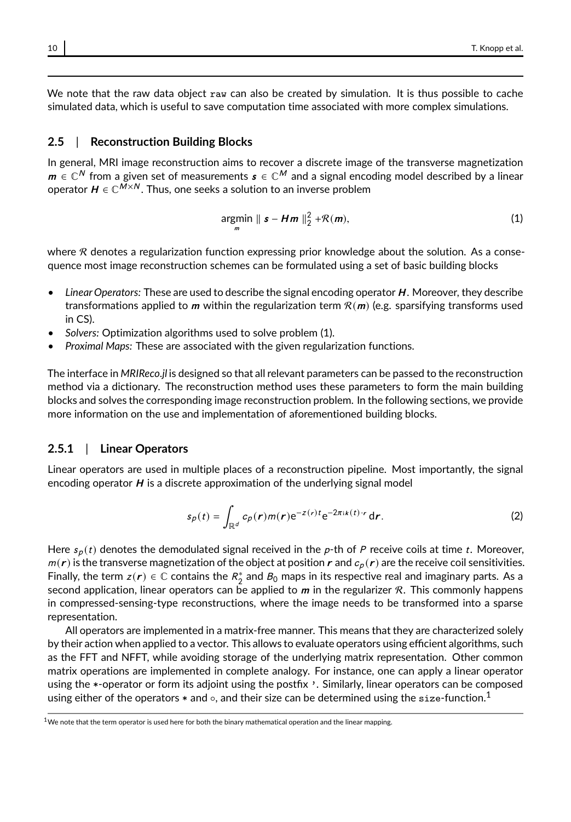We note that the raw data object raw can also be created by simulation. It is thus possible to cache simulated data, which is useful to save computation time associated with more complex simulations.

#### **2.5** | **Reconstruction Building Blocks**

In general, MRI image reconstruction aims to recover a discrete image of the transverse magnetization  $\bm{m}\in \mathbb{C}^N$  from a given set of measurements  $\bm{s}\in \mathbb{C}^M$  and a signal encoding model described by a linear operator  $\boldsymbol{H}\in \mathbb{C}^{M\times N}.$  Thus, one seeks a solution to an inverse problem

$$
\underset{m}{\text{argmin}} \parallel \mathbf{s} - \mathbf{Hm} \parallel_{2}^{2} + \mathcal{R}(\mathbf{m}), \tag{1}
$$

where  $R$  denotes a regularization function expressing prior knowledge about the solution. As a consequence most image reconstruction schemes can be formulated using a set of basic building blocks

- *Linear Operators:* These are used to describe the signal encoding operator H . Moreover, they describe transformations applied to  $m$  within the regularization term  $R(m)$  (e.g. sparsifying transforms used in CS).
- *Solvers:* Optimization algorithms used to solve problem (1).
- *Proximal Maps:* These are associated with the given regularization functions.

The interface in *MRIReco.jl* is designed so that all relevant parameters can be passed to the reconstruction method via a dictionary. The reconstruction method uses these parameters to form the main building blocks and solves the corresponding image reconstruction problem. In the following sections, we provide more information on the use and implementation of aforementioned building blocks.

#### **2.5.1** | **Linear Operators**

Linear operators are used in multiple places of a reconstruction pipeline. Most importantly, the signal encoding operator  $H$  is a discrete approximation of the underlying signal model

$$
s_p(t) = \int_{\mathbb{R}^d} c_p(r)m(r)e^{-z(r)t}e^{-2\pi i k(t) \cdot r} dr.
$$
 (2)

Here  $s_p(t)$  denotes the demodulated signal received in the p-th of P receive coils at time t. Moreover,  $m(r)$  is the transverse magnetization of the object at position r and  $c_p(r)$  are the receive coil sensitivities. Finally, the term  $z(r) \in \mathbb{C}$  contains the  $R_2^*$  and  $B_0$  maps in its respective real and imaginary parts. As a second application, linear operators can be applied to  $m$  in the regularizer  $R$ . This commonly happens in compressed-sensing-type reconstructions, where the image needs to be transformed into a sparse representation.

All operators are implemented in a matrix-free manner. This means that they are characterized solely by their action when applied to a vector. This allows to evaluate operators using efficient algorithms, such as the FFT and NFFT, while avoiding storage of the underlying matrix representation. Other common matrix operations are implemented in complete analogy. For instance, one can apply a linear operator using the \*-operator or form its adjoint using the postfix '. Similarly, linear operators can be composed using either of the operators  $*$  and  $\circ$ , and their size can be determined using the size-function.<sup>1</sup>

 $1$ We note that the term operator is used here for both the binary mathematical operation and the linear mapping.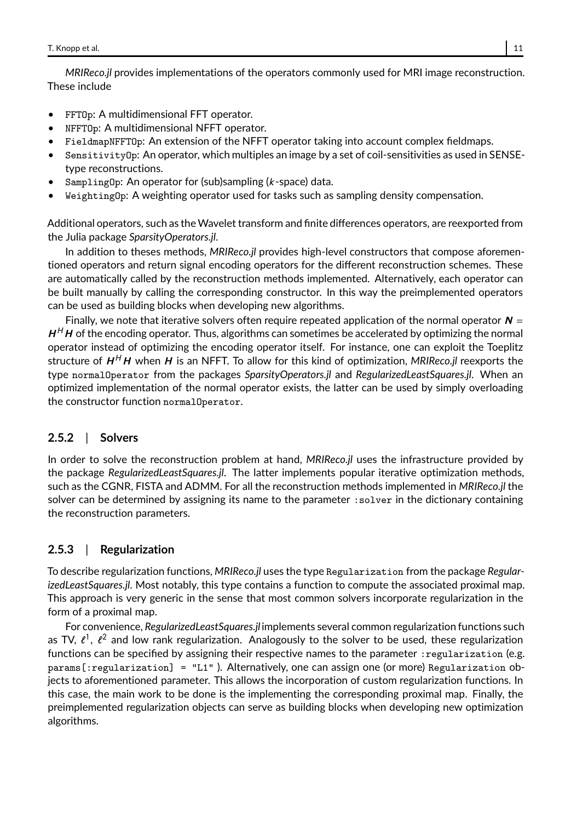*MRIReco.jl* provides implementations of the operators commonly used for MRI image reconstruction. These include

- FFTOp: A multidimensional FFT operator.
- NFFTOp: A multidimensional NFFT operator.
- FieldmapNFFTOp: An extension of the NFFT operator taking into account complex fieldmaps.
- SensitivityOp: An operator, which multiples an image by a set of coil-sensitivities as used in SENSEtype reconstructions.
- SamplingOp: An operator for (sub)sampling  $(k\text{-space})$  data.
- WeightingOp: A weighting operator used for tasks such as sampling density compensation.

Additional operators, such as theWavelet transform and finite differences operators, are reexported from the Julia package *SparsityOperators.jl*.

In addition to theses methods, *MRIReco.jl* provides high-level constructors that compose aforementioned operators and return signal encoding operators for the different reconstruction schemes. These are automatically called by the reconstruction methods implemented. Alternatively, each operator can be built manually by calling the corresponding constructor. In this way the preimplemented operators can be used as building blocks when developing new algorithms.

Finally, we note that iterative solvers often require repeated application of the normal operator  $N =$  $H<sup>H</sup>H$  of the encoding operator. Thus, algorithms can sometimes be accelerated by optimizing the normal operator instead of optimizing the encoding operator itself. For instance, one can exploit the Toeplitz structure of  $H^H$ H when H is an NFFT. To allow for this kind of optimization, MRIReco.jl reexports the type normalOperator from the packages *SparsityOperators.jl* and *RegularizedLeastSquares.jl*. When an optimized implementation of the normal operator exists, the latter can be used by simply overloading the constructor function normalOperator.

# **2.5.2** | **Solvers**

In order to solve the reconstruction problem at hand, *MRIReco.jl* uses the infrastructure provided by the package *RegularizedLeastSquares.jl*. The latter implements popular iterative optimization methods, such as the CGNR, FISTA and ADMM. For all the reconstruction methods implemented in *MRIReco.jl* the solver can be determined by assigning its name to the parameter : solver in the dictionary containing the reconstruction parameters.

# **2.5.3** | **Regularization**

To describe regularization functions, *MRIReco.jl* uses the type Regularization from the package *RegularizedLeastSquares.jl*. Most notably, this type contains a function to compute the associated proximal map. This approach is very generic in the sense that most common solvers incorporate regularization in the form of a proximal map.

For convenience, *RegularizedLeastSquares.jl* implements several common regularization functions such as TV,  $\ell^1$ ,  $\ell^2$  and low rank regularization. Analogously to the solver to be used, these regularization functions can be specified by assigning their respective names to the parameter : regularization (e.g. params[:regularization] = "L1" ). Alternatively, one can assign one (or more) Regularization objects to aforementioned parameter. This allows the incorporation of custom regularization functions. In this case, the main work to be done is the implementing the corresponding proximal map. Finally, the preimplemented regularization objects can serve as building blocks when developing new optimization algorithms.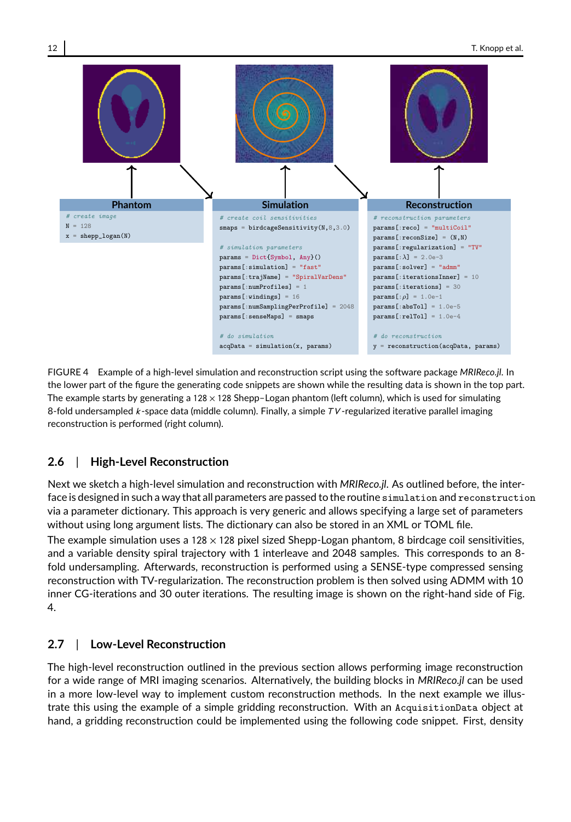

FIGURE 4 Example of a high-level simulation and reconstruction script using the software package *MRIReco.jl*. In the lower part of the figure the generating code snippets are shown while the resulting data is shown in the top part. The example starts by generating a 128 × 128 Shepp–Logan phantom (left column), which is used for simulating 8-fold undersampled  $k$ -space data (middle column). Finally, a simple  $TV$ -regularized iterative parallel imaging reconstruction is performed (right column).

# **2.6** | **High-Level Reconstruction**

Next we sketch a high-level simulation and reconstruction with *MRIReco.jl*. As outlined before, the interface is designed in such a way that all parameters are passed to the routine simulation and reconstruction via a parameter dictionary. This approach is very generic and allows specifying a large set of parameters without using long argument lists. The dictionary can also be stored in an XML or TOML file. The example simulation uses a  $128 \times 128$  pixel sized Shepp-Logan phantom, 8 birdcage coil sensitivities, and a variable density spiral trajectory with 1 interleave and 2048 samples. This corresponds to an 8 fold undersampling. Afterwards, reconstruction is performed using a SENSE-type compressed sensing reconstruction with TV-regularization. The reconstruction problem is then solved using ADMM with 10 inner CG-iterations and 30 outer iterations. The resulting image is shown on the right-hand side of Fig. 4.

# **2.7** | **Low-Level Reconstruction**

The high-level reconstruction outlined in the previous section allows performing image reconstruction for a wide range of MRI imaging scenarios. Alternatively, the building blocks in *MRIReco.jl* can be used in a more low-level way to implement custom reconstruction methods. In the next example we illustrate this using the example of a simple gridding reconstruction. With an AcquisitionData object at hand, a gridding reconstruction could be implemented using the following code snippet. First, density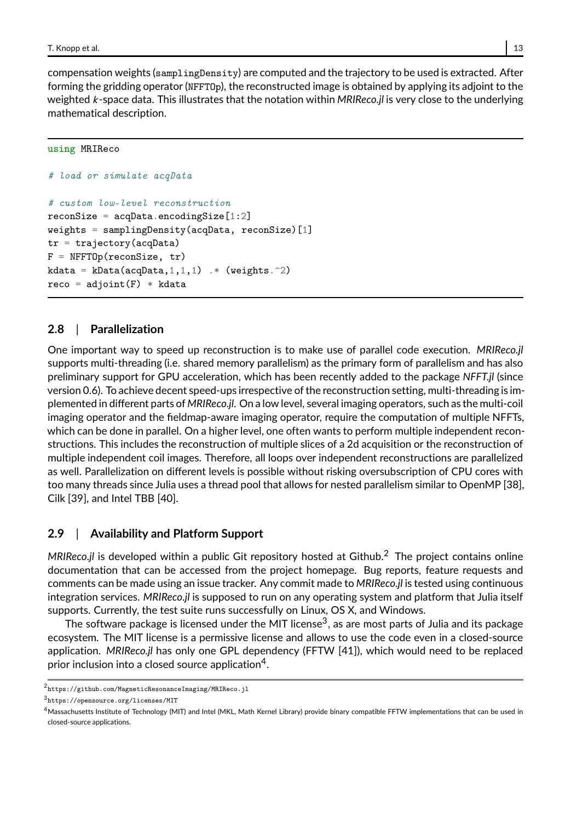compensation weights (samplingDensity) are computed and the trajectory to be used is extracted. After forming the gridding operator (NFFTOp), the reconstructed image is obtained by applying its adjoint to the weighted k -space data. This illustrates that the notation within *MRIReco.jl* is very close to the underlying mathematical description.

#### using MRIReco

```
# load or simulate acqData
# custom low-level reconstruction
reconSize = acqData.encodingSize[1:2]weights = samplingDensity(acqData, reconSize)[1]tr = trajectory(acaData)F = NFFTOp(reconSize, tr)kdata = kData(acqData,1, 1, 1) .* (weights.\hat{2})
reco = adjoint(F) * kdata
```
# **2.8** | **Parallelization**

One important way to speed up reconstruction is to make use of parallel code execution. *MRIReco.jl* supports multi-threading (i.e. shared memory parallelism) as the primary form of parallelism and has also preliminary support for GPU acceleration, which has been recently added to the package *NFFT.jl* (since version 0.6). To achieve decent speed-ups irrespective of the reconstruction setting, multi-threading is implemented in different parts of *MRIReco.jl*. On a low level, several imaging operators, such as the multi-coil imaging operator and the fieldmap-aware imaging operator, require the computation of multiple NFFTs, which can be done in parallel. On a higher level, one often wants to perform multiple independent reconstructions. This includes the reconstruction of multiple slices of a 2d acquisition or the reconstruction of multiple independent coil images. Therefore, all loops over independent reconstructions are parallelized as well. Parallelization on different levels is possible without risking oversubscription of CPU cores with too many threads since Julia uses a thread pool that allows for nested parallelism similar to OpenMP [38], Cilk [39], and Intel TBB [40].

# **2.9** | **Availability and Platform Support**

*MRIReco.jl* is developed within a public Git repository hosted at Github. <sup>2</sup> The project contains online documentation that can be accessed from the project homepage. Bug reports, feature requests and comments can be made using an issue tracker. Any commit made to *MRIReco.jl* is tested using continuous integration services. *MRIReco.jl* is supposed to run on any operating system and platform that Julia itself supports. Currently, the test suite runs successfully on Linux, OS X, and Windows.

The software package is licensed under the MIT license $^3$ , as are most parts of Julia and its package ecosystem. The MIT license is a permissive license and allows to use the code even in a closed-source application. *MRIReco.jl* has only one GPL dependency (FFTW [41]), which would need to be replaced prior inclusion into a closed source application $\rm ^4$ .

<sup>2</sup> https://github.com/MagneticResonanceImaging/MRIReco.jl

<sup>3</sup> https://opensource.org/licenses/MIT

<sup>4</sup>Massachusetts Institute of Technology (MIT) and Intel (MKL, Math Kernel Library) provide binary compatible FFTW implementations that can be used in closed-source applications.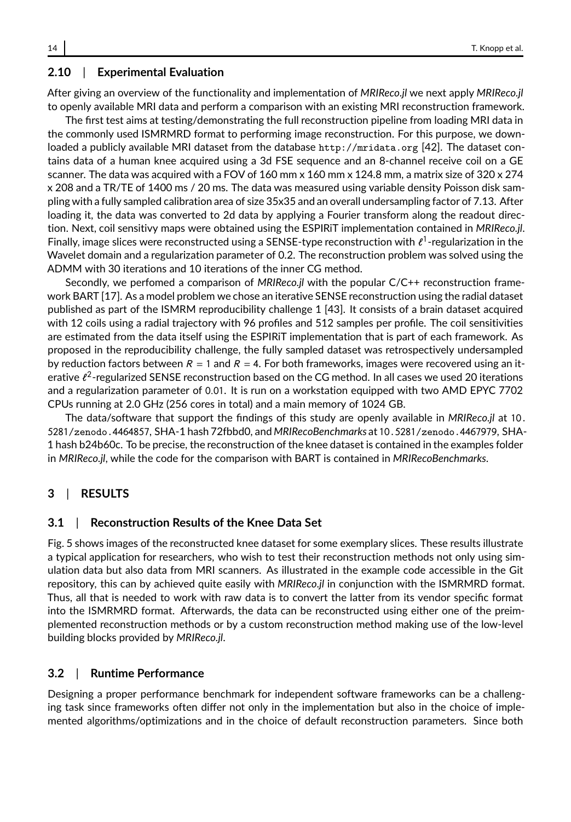# **2.10** | **Experimental Evaluation**

After giving an overview of the functionality and implementation of *MRIReco.jl* we next apply *MRIReco.jl* to openly available MRI data and perform a comparison with an existing MRI reconstruction framework.

The first test aims at testing/demonstrating the full reconstruction pipeline from loading MRI data in the commonly used ISMRMRD format to performing image reconstruction. For this purpose, we downloaded a publicly available MRI dataset from the database http://mridata.org [42]. The dataset contains data of a human knee acquired using a 3d FSE sequence and an 8-channel receive coil on a GE scanner. The data was acquired with a FOV of 160 mm x 160 mm x 124.8 mm, a matrix size of 320 x 274 x 208 and a TR/TE of 1400 ms / 20 ms. The data was measured using variable density Poisson disk sampling with a fully sampled calibration area of size 35x35 and an overall undersampling factor of 7.13. After loading it, the data was converted to 2d data by applying a Fourier transform along the readout direction. Next, coil sensitivy maps were obtained using the ESPIRiT implementation contained in *MRIReco.jl*. Finally, image slices were reconstructed using a SENSE-type reconstruction with  $\ell^1$ -regularization in the Wavelet domain and a regularization parameter of 0.2. The reconstruction problem was solved using the ADMM with 30 iterations and 10 iterations of the inner CG method.

Secondly, we perfomed a comparison of *MRIReco.jl* with the popular C/C++ reconstruction framework BART [17]. As a model problem we chose an iterative SENSE reconstruction using the radial dataset published as part of the ISMRM reproducibility challenge 1 [43]. It consists of a brain dataset acquired with 12 coils using a radial trajectory with 96 profiles and 512 samples per profile. The coil sensitivities are estimated from the data itself using the ESPIRiT implementation that is part of each framework. As proposed in the reproducibility challenge, the fully sampled dataset was retrospectively undersampled by reduction factors between  $R = 1$  and  $R = 4$ . For both frameworks, images were recovered using an iterative  $\ell^2$ -regularized SENSE reconstruction based on the CG method. In all cases we used 20 iterations and a regularization parameter of <sup>0</sup>.01. It is run on a workstation equipped with two AMD EPYC 7702 CPUs running at 2.0 GHz (256 cores in total) and a main memory of 1024 GB.

The data/software that support the findings of this study are openly available in *MRIReco.jl* at 10. 5281/zenodo.4464857, SHA-1 hash 72fbbd0, and *MRIRecoBenchmarks* at 10.5281/zenodo.4467979, SHA-1 hash b24b60c. To be precise, the reconstruction of the knee dataset is contained in the examples folder in *MRIReco.jl*, while the code for the comparison with BART is contained in *MRIRecoBenchmarks*.

### **3** | **RESULTS**

#### **3.1** | **Reconstruction Results of the Knee Data Set**

Fig. 5 shows images of the reconstructed knee dataset for some exemplary slices. These results illustrate a typical application for researchers, who wish to test their reconstruction methods not only using simulation data but also data from MRI scanners. As illustrated in the example code accessible in the Git repository, this can by achieved quite easily with *MRIReco.jl* in conjunction with the ISMRMRD format. Thus, all that is needed to work with raw data is to convert the latter from its vendor specific format into the ISMRMRD format. Afterwards, the data can be reconstructed using either one of the preimplemented reconstruction methods or by a custom reconstruction method making use of the low-level building blocks provided by *MRIReco.jl*.

#### **3.2** | **Runtime Performance**

Designing a proper performance benchmark for independent software frameworks can be a challenging task since frameworks often differ not only in the implementation but also in the choice of implemented algorithms/optimizations and in the choice of default reconstruction parameters. Since both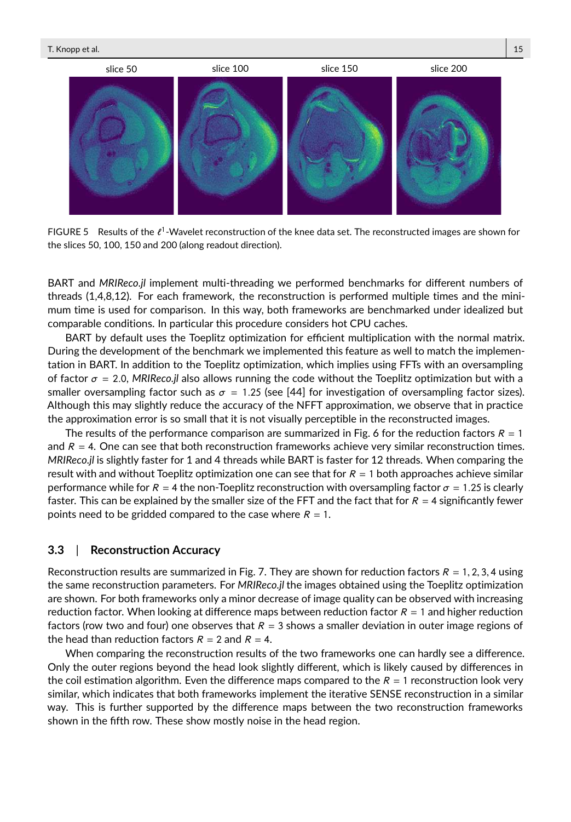

FIGURE 5 Results of the  $\ell^1$ -Wavelet reconstruction of the knee data set. The reconstructed images are shown for the slices 50, 100, 150 and 200 (along readout direction).

BART and *MRIReco.jl* implement multi-threading we performed benchmarks for different numbers of threads (1,4,8,12). For each framework, the reconstruction is performed multiple times and the minimum time is used for comparison. In this way, both frameworks are benchmarked under idealized but comparable conditions. In particular this procedure considers hot CPU caches.

BART by default uses the Toeplitz optimization for efficient multiplication with the normal matrix. During the development of the benchmark we implemented this feature as well to match the implementation in BART. In addition to the Toeplitz optimization, which implies using FFTs with an oversampling of factor  $\sigma = 2.0$ , *MRIReco.jl* also allows running the code without the Toeplitz optimization but with a smaller oversampling factor such as  $\sigma = 1.25$  (see [44] for investigation of oversampling factor sizes). Although this may slightly reduce the accuracy of the NFFT approximation, we observe that in practice the approximation error is so small that it is not visually perceptible in the reconstructed images.

The results of the performance comparison are summarized in Fig. 6 for the reduction factors  $R = 1$ and  $R = 4$ . One can see that both reconstruction frameworks achieve very similar reconstruction times. *MRIReco.jl* is slightly faster for 1 and 4 threads while BART is faster for 12 threads. When comparing the result with and without Toeplitz optimization one can see that for  $R = 1$  both approaches achieve similar performance while for  $R = 4$  the non-Toeplitz reconstruction with oversampling factor  $\sigma = 1.25$  is clearly faster. This can be explained by the smaller size of the FFT and the fact that for  $R = 4$  significantly fewer points need to be gridded compared to the case where  $R = 1$ .

# **3.3** | **Reconstruction Accuracy**

Reconstruction results are summarized in Fig. 7. They are shown for reduction factors  $R = 1, 2, 3, 4$  using the same reconstruction parameters. For *MRIReco.jl* the images obtained using the Toeplitz optimization are shown. For both frameworks only a minor decrease of image quality can be observed with increasing reduction factor. When looking at difference maps between reduction factor  $R = 1$  and higher reduction factors (row two and four) one observes that  $R = 3$  shows a smaller deviation in outer image regions of the head than reduction factors  $R = 2$  and  $R = 4$ .

When comparing the reconstruction results of the two frameworks one can hardly see a difference. Only the outer regions beyond the head look slightly different, which is likely caused by differences in the coil estimation algorithm. Even the difference maps compared to the  $R = 1$  reconstruction look very similar, which indicates that both frameworks implement the iterative SENSE reconstruction in a similar way. This is further supported by the difference maps between the two reconstruction frameworks shown in the fifth row. These show mostly noise in the head region.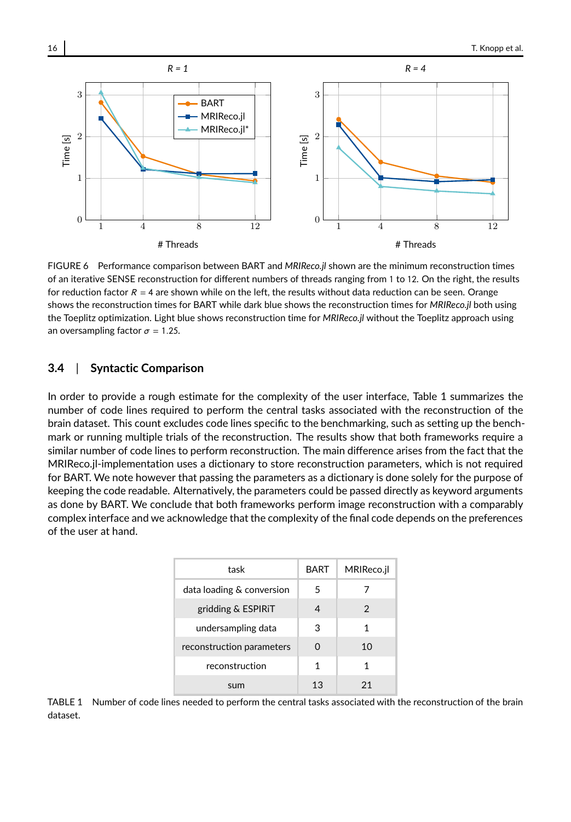

FIGURE 6 Performance comparison between BART and *MRIReco.jl* shown are the minimum reconstruction times of an iterative SENSE reconstruction for different numbers of threads ranging from 1 to 12. On the right, the results for reduction factor  $R = 4$  are shown while on the left, the results without data reduction can be seen. Orange shows the reconstruction times for BART while dark blue shows the reconstruction times for *MRIReco.jl* both using the Toeplitz optimization. Light blue shows reconstruction time for *MRIReco.jl* without the Toeplitz approach using an oversampling factor  $\sigma = 1.25$ .

### **3.4** | **Syntactic Comparison**

In order to provide a rough estimate for the complexity of the user interface, Table 1 summarizes the number of code lines required to perform the central tasks associated with the reconstruction of the brain dataset. This count excludes code lines specific to the benchmarking, such as setting up the benchmark or running multiple trials of the reconstruction. The results show that both frameworks require a similar number of code lines to perform reconstruction. The main difference arises from the fact that the MRIReco.jl-implementation uses a dictionary to store reconstruction parameters, which is not required for BART. We note however that passing the parameters as a dictionary is done solely for the purpose of keeping the code readable. Alternatively, the parameters could be passed directly as keyword arguments as done by BART. We conclude that both frameworks perform image reconstruction with a comparably complex interface and we acknowledge that the complexity of the final code depends on the preferences of the user at hand.

| task                      | <b>BART</b> | MRIReco.jl |
|---------------------------|-------------|------------|
| data loading & conversion | 5           |            |
| gridding & ESPIRIT        | 4           | 2          |
| undersampling data        | 3           | 1          |
| reconstruction parameters | O           | 10         |
| reconstruction            | 1           | 1          |
| sum                       | 13          | 21         |

TABLE 1 Number of code lines needed to perform the central tasks associated with the reconstruction of the brain dataset.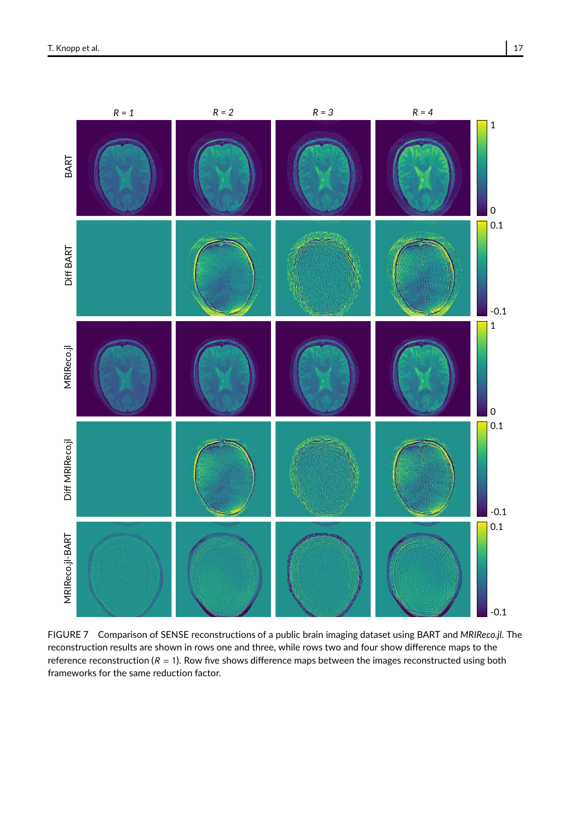

FIGURE 7 Comparison of SENSE reconstructions of a public brain imaging dataset using BART and *MRIReco.jl*. The reconstruction results are shown in rows one and three, while rows two and four show difference maps to the reference reconstruction ( $R = 1$ ). Row five shows difference maps between the images reconstructed using both frameworks for the same reduction factor.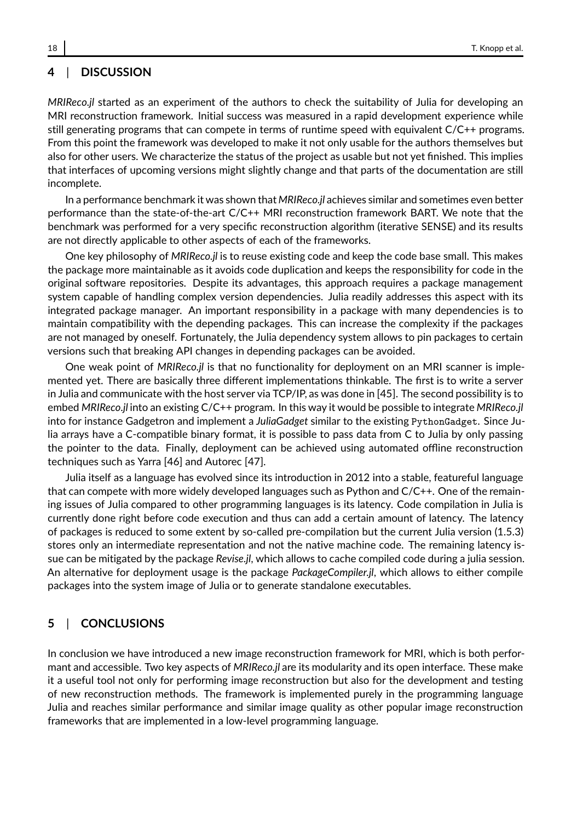### **4** | **DISCUSSION**

*MRIReco.jl* started as an experiment of the authors to check the suitability of Julia for developing an MRI reconstruction framework. Initial success was measured in a rapid development experience while still generating programs that can compete in terms of runtime speed with equivalent C/C++ programs. From this point the framework was developed to make it not only usable for the authors themselves but also for other users. We characterize the status of the project as usable but not yet finished. This implies that interfaces of upcoming versions might slightly change and that parts of the documentation are still incomplete.

In a performance benchmark it was shown that *MRIReco.jl* achieves similar and sometimes even better performance than the state-of-the-art C/C++ MRI reconstruction framework BART. We note that the benchmark was performed for a very specific reconstruction algorithm (iterative SENSE) and its results are not directly applicable to other aspects of each of the frameworks.

One key philosophy of *MRIReco.jl* is to reuse existing code and keep the code base small. This makes the package more maintainable as it avoids code duplication and keeps the responsibility for code in the original software repositories. Despite its advantages, this approach requires a package management system capable of handling complex version dependencies. Julia readily addresses this aspect with its integrated package manager. An important responsibility in a package with many dependencies is to maintain compatibility with the depending packages. This can increase the complexity if the packages are not managed by oneself. Fortunately, the Julia dependency system allows to pin packages to certain versions such that breaking API changes in depending packages can be avoided.

One weak point of *MRIReco.jl* is that no functionality for deployment on an MRI scanner is implemented yet. There are basically three different implementations thinkable. The first is to write a server in Julia and communicate with the host server via TCP/IP, as was done in [45]. The second possibility is to embed *MRIReco.jl* into an existing C/C++ program. In this way it would be possible to integrate *MRIReco.jl* into for instance Gadgetron and implement a *JuliaGadget* similar to the existing PythonGadget. Since Julia arrays have a C-compatible binary format, it is possible to pass data from C to Julia by only passing the pointer to the data. Finally, deployment can be achieved using automated offline reconstruction techniques such as Yarra [46] and Autorec [47].

Julia itself as a language has evolved since its introduction in 2012 into a stable, featureful language that can compete with more widely developed languages such as Python and C/C++. One of the remaining issues of Julia compared to other programming languages is its latency. Code compilation in Julia is currently done right before code execution and thus can add a certain amount of latency. The latency of packages is reduced to some extent by so-called pre-compilation but the current Julia version (1.5.3) stores only an intermediate representation and not the native machine code. The remaining latency issue can be mitigated by the package *Revise.jl*, which allows to cache compiled code during a julia session. An alternative for deployment usage is the package *PackageCompiler.jl*, which allows to either compile packages into the system image of Julia or to generate standalone executables.

### **5** | **CONCLUSIONS**

In conclusion we have introduced a new image reconstruction framework for MRI, which is both performant and accessible. Two key aspects of *MRIReco.jl* are its modularity and its open interface. These make it a useful tool not only for performing image reconstruction but also for the development and testing of new reconstruction methods. The framework is implemented purely in the programming language Julia and reaches similar performance and similar image quality as other popular image reconstruction frameworks that are implemented in a low-level programming language.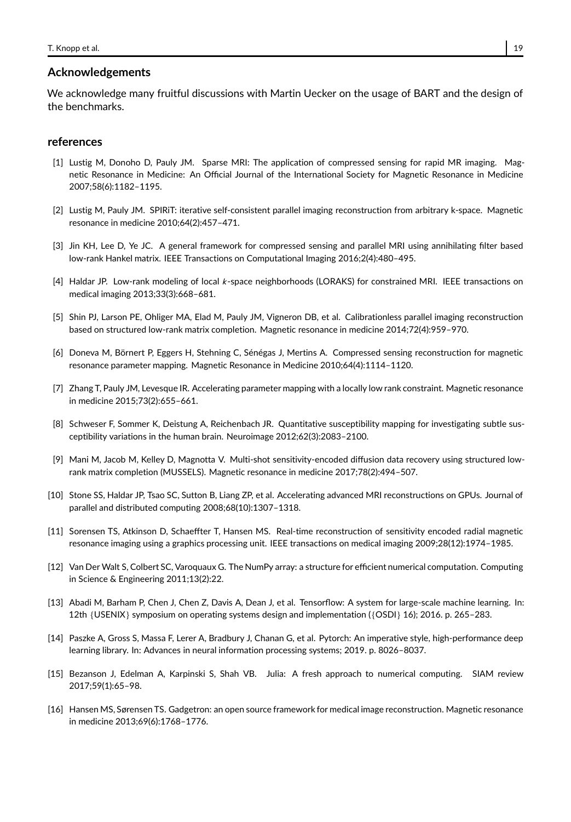#### **Acknowledgements**

We acknowledge many fruitful discussions with Martin Uecker on the usage of BART and the design of the benchmarks.

#### **references**

- [1] Lustig M, Donoho D, Pauly JM. Sparse MRI: The application of compressed sensing for rapid MR imaging. Magnetic Resonance in Medicine: An Official Journal of the International Society for Magnetic Resonance in Medicine 2007;58(6):1182–1195.
- [2] Lustig M, Pauly JM. SPIRiT: iterative self-consistent parallel imaging reconstruction from arbitrary k-space. Magnetic resonance in medicine 2010;64(2):457–471.
- [3] Jin KH, Lee D, Ye JC. A general framework for compressed sensing and parallel MRI using annihilating filter based low-rank Hankel matrix. IEEE Transactions on Computational Imaging 2016;2(4):480–495.
- [4] Haldar JP. Low-rank modeling of local k-space neighborhoods (LORAKS) for constrained MRI. IEEE transactions on medical imaging 2013;33(3):668–681.
- [5] Shin PJ, Larson PE, Ohliger MA, Elad M, Pauly JM, Vigneron DB, et al. Calibrationless parallel imaging reconstruction based on structured low-rank matrix completion. Magnetic resonance in medicine 2014;72(4):959–970.
- [6] Doneva M, Börnert P, Eggers H, Stehning C, Sénégas J, Mertins A. Compressed sensing reconstruction for magnetic resonance parameter mapping. Magnetic Resonance in Medicine 2010;64(4):1114–1120.
- [7] Zhang T, Pauly JM, Levesque IR. Accelerating parameter mapping with a locally low rank constraint. Magnetic resonance in medicine 2015;73(2):655–661.
- [8] Schweser F, Sommer K, Deistung A, Reichenbach JR. Quantitative susceptibility mapping for investigating subtle susceptibility variations in the human brain. Neuroimage 2012;62(3):2083–2100.
- [9] Mani M, Jacob M, Kelley D, Magnotta V. Multi-shot sensitivity-encoded diffusion data recovery using structured lowrank matrix completion (MUSSELS). Magnetic resonance in medicine 2017;78(2):494–507.
- [10] Stone SS, Haldar JP, Tsao SC, Sutton B, Liang ZP, et al. Accelerating advanced MRI reconstructions on GPUs. Journal of parallel and distributed computing 2008;68(10):1307–1318.
- [11] Sorensen TS, Atkinson D, Schaeffter T, Hansen MS. Real-time reconstruction of sensitivity encoded radial magnetic resonance imaging using a graphics processing unit. IEEE transactions on medical imaging 2009;28(12):1974–1985.
- [12] Van Der Walt S, Colbert SC, Varoquaux G. The NumPy array: a structure for efficient numerical computation. Computing in Science & Engineering 2011;13(2):22.
- [13] Abadi M, Barham P, Chen J, Chen Z, Davis A, Dean J, et al. Tensorflow: A system for large-scale machine learning. In: 12th {USENIX} symposium on operating systems design and implementation ({OSDI} 16); 2016. p. 265–283.
- [14] Paszke A, Gross S, Massa F, Lerer A, Bradbury J, Chanan G, et al. Pytorch: An imperative style, high-performance deep learning library. In: Advances in neural information processing systems; 2019. p. 8026–8037.
- [15] Bezanson J, Edelman A, Karpinski S, Shah VB. Julia: A fresh approach to numerical computing. SIAM review 2017;59(1):65–98.
- [16] Hansen MS, Sørensen TS. Gadgetron: an open source framework for medical image reconstruction. Magnetic resonance in medicine 2013;69(6):1768–1776.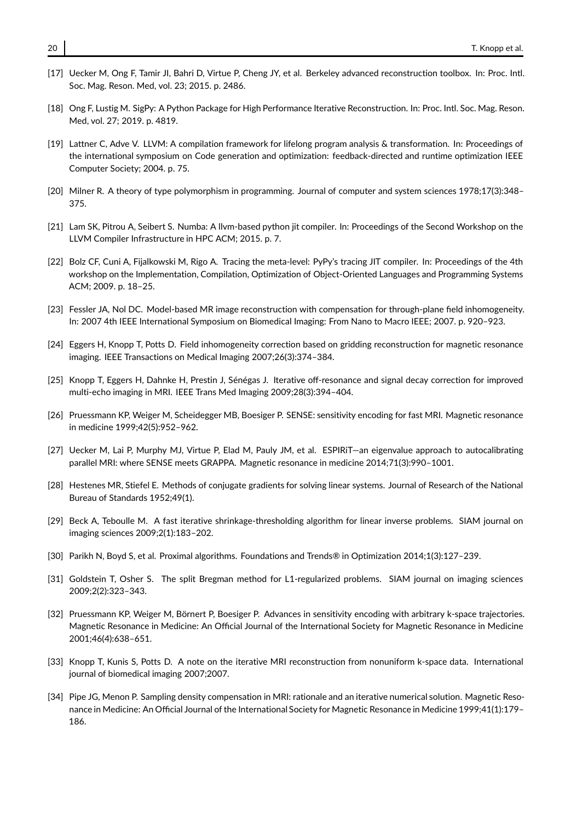- [17] Uecker M, Ong F, Tamir JI, Bahri D, Virtue P, Cheng JY, et al. Berkeley advanced reconstruction toolbox. In: Proc. Intl. Soc. Mag. Reson. Med, vol. 23; 2015. p. 2486.
- [18] Ong F, Lustig M. SigPy: A Python Package for High Performance Iterative Reconstruction. In: Proc. Intl. Soc. Mag. Reson. Med, vol. 27; 2019. p. 4819.
- [19] Lattner C, Adve V. LLVM: A compilation framework for lifelong program analysis & transformation. In: Proceedings of the international symposium on Code generation and optimization: feedback-directed and runtime optimization IEEE Computer Society; 2004. p. 75.
- [20] Milner R. A theory of type polymorphism in programming. Journal of computer and system sciences 1978;17(3):348– 375.
- [21] Lam SK, Pitrou A, Seibert S. Numba: A llvm-based python jit compiler. In: Proceedings of the Second Workshop on the LLVM Compiler Infrastructure in HPC ACM; 2015. p. 7.
- [22] Bolz CF, Cuni A, Fijalkowski M, Rigo A. Tracing the meta-level: PyPy's tracing JIT compiler. In: Proceedings of the 4th workshop on the Implementation, Compilation, Optimization of Object-Oriented Languages and Programming Systems ACM; 2009. p. 18–25.
- [23] Fessler JA, Nol DC. Model-based MR image reconstruction with compensation for through-plane field inhomogeneity. In: 2007 4th IEEE International Symposium on Biomedical Imaging: From Nano to Macro IEEE; 2007. p. 920–923.
- [24] Eggers H, Knopp T, Potts D. Field inhomogeneity correction based on gridding reconstruction for magnetic resonance imaging. IEEE Transactions on Medical Imaging 2007;26(3):374–384.
- [25] Knopp T, Eggers H, Dahnke H, Prestin J, Sénégas J. Iterative off-resonance and signal decay correction for improved multi-echo imaging in MRI. IEEE Trans Med Imaging 2009;28(3):394–404.
- [26] Pruessmann KP, Weiger M, Scheidegger MB, Boesiger P. SENSE: sensitivity encoding for fast MRI. Magnetic resonance in medicine 1999;42(5):952–962.
- [27] Uecker M, Lai P, Murphy MJ, Virtue P, Elad M, Pauly JM, et al. ESPIRiT—an eigenvalue approach to autocalibrating parallel MRI: where SENSE meets GRAPPA. Magnetic resonance in medicine 2014;71(3):990–1001.
- [28] Hestenes MR, Stiefel E. Methods of conjugate gradients for solving linear systems. Journal of Research of the National Bureau of Standards 1952;49(1).
- [29] Beck A, Teboulle M. A fast iterative shrinkage-thresholding algorithm for linear inverse problems. SIAM journal on imaging sciences 2009;2(1):183–202.
- [30] Parikh N, Boyd S, et al. Proximal algorithms. Foundations and Trends® in Optimization 2014;1(3):127–239.
- [31] Goldstein T, Osher S. The split Bregman method for L1-regularized problems. SIAM journal on imaging sciences 2009;2(2):323–343.
- [32] Pruessmann KP, Weiger M, Börnert P, Boesiger P. Advances in sensitivity encoding with arbitrary k-space trajectories. Magnetic Resonance in Medicine: An Official Journal of the International Society for Magnetic Resonance in Medicine 2001;46(4):638–651.
- [33] Knopp T, Kunis S, Potts D. A note on the iterative MRI reconstruction from nonuniform k-space data. International journal of biomedical imaging 2007;2007.
- [34] Pipe JG, Menon P. Sampling density compensation in MRI: rationale and an iterative numerical solution. Magnetic Resonance in Medicine: An Official Journal of the International Society for Magnetic Resonance in Medicine 1999;41(1):179– 186.